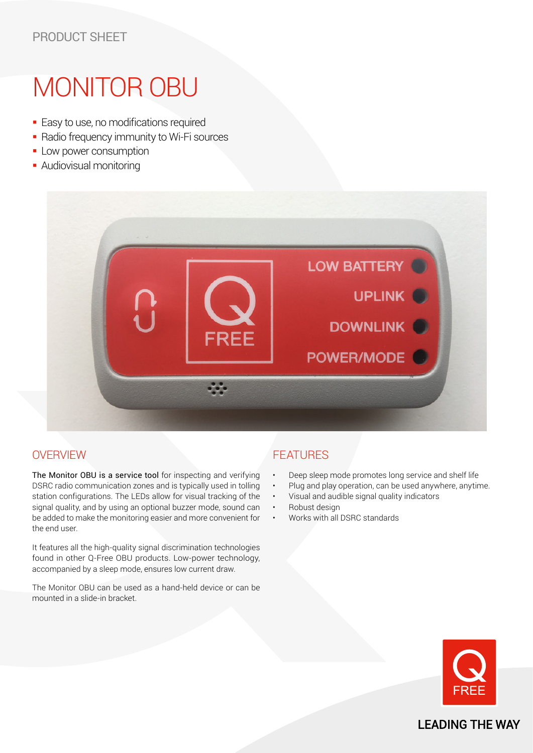# MONITOR OBU

- **Easy to use, no modifications required**
- **Radio frequency immunity to Wi-Fi sources**
- **-** Low power consumption
- **Audiovisual monitoring**



## **OVERVIEW**

The Monitor OBU is a service tool for inspecting and verifying DSRC radio communication zones and is typically used in tolling station configurations. The LEDs allow for visual tracking of the signal quality, and by using an optional buzzer mode, sound can be added to make the monitoring easier and more convenient for the end user.

It features all the high-quality signal discrimination technologies found in other Q-Free OBU products. Low-power technology, accompanied by a sleep mode, ensures low current draw.

The Monitor OBU can be used as a hand-held device or can be mounted in a slide-in bracket.

## FEATURES

- Deep sleep mode promotes long service and shelf life
- Plug and play operation, can be used anywhere, anytime.
- Visual and audible signal quality indicators
- Robust design
- Works with all DSRC standards



**LEADING THE WAY**